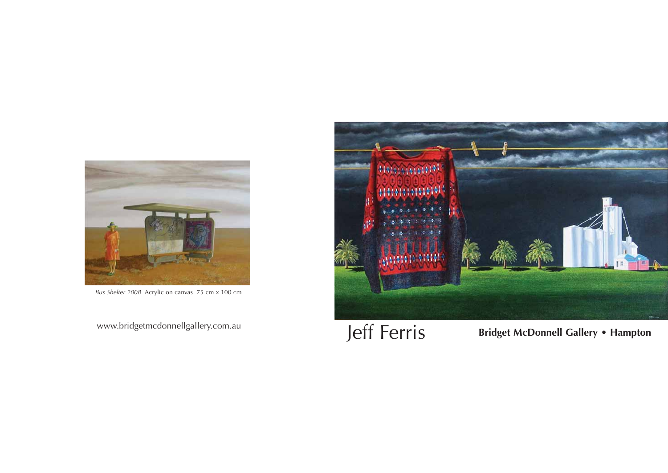

*Bus Shelter 2008* Acrylic on canvas 75 cm x 100 cm



www.bridgetmcdonnellgallery.com.au **Jeff Ferris** Bridget McDonnell Gallery • Hampton